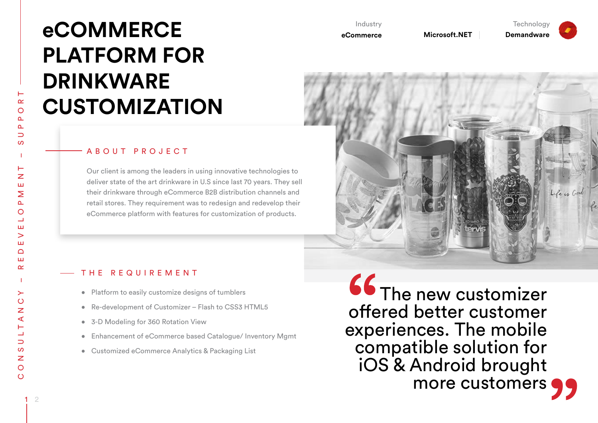# **eCOMMERCE PLATFORM FOR DRINKWARE CUSTOMIZATION**

#### ABOUT PROJECT

Our client is among the leaders in using innovative technologies to deliver state of the art drinkware in U.S since last 70 years. They sell their drinkware through eCommerce B2B distribution channels and retail stores. They requirement was to redesign and redevelop their eCommerce platform with features for customization of products.

#### Industry

**eCommerce** 

**Microsoft.NET** Demandware

**Technology** 



#### THE REQUIREMENT

- Platform to easily customize designs of tumblers
- Re-development of Customizer Flash to CSS3 HTML5
- 3-D Modeling for 360 Rotation View
- Enhancement of eCommerce based Catalogue/ Inventory Mgmt
- Customized eCommerce Analytics & Packaging List

**66** The new customizer offered better customer experiences. The mobile compatible solution for iOS & Android brought more customers  $\bigcirc$